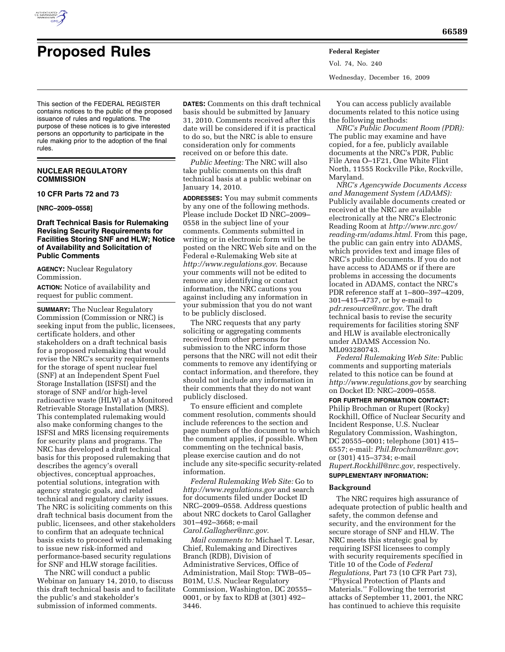

# **Proposed Rules Federal Register**

This section of the FEDERAL REGISTER contains notices to the public of the proposed issuance of rules and regulations. The purpose of these notices is to give interested persons an opportunity to participate in the rule making prior to the adoption of the final rules.

## **NUCLEAR REGULATORY COMMISSION**

## **10 CFR Parts 72 and 73**

#### **[NRC–2009–0558]**

## **Draft Technical Basis for Rulemaking Revising Security Requirements for Facilities Storing SNF and HLW; Notice of Availability and Solicitation of Public Comments**

**AGENCY:** Nuclear Regulatory Commission.

**ACTION:** Notice of availability and request for public comment.

**SUMMARY:** The Nuclear Regulatory Commission (Commission or NRC) is seeking input from the public, licensees, certificate holders, and other stakeholders on a draft technical basis for a proposed rulemaking that would revise the NRC's security requirements for the storage of spent nuclear fuel (SNF) at an Independent Spent Fuel Storage Installation (ISFSI) and the storage of SNF and/or high-level radioactive waste (HLW) at a Monitored Retrievable Storage Installation (MRS). This contemplated rulemaking would also make conforming changes to the ISFSI and MRS licensing requirements for security plans and programs. The NRC has developed a draft technical basis for this proposed rulemaking that describes the agency's overall objectives, conceptual approaches, potential solutions, integration with agency strategic goals, and related technical and regulatory clarity issues. The NRC is soliciting comments on this draft technical basis document from the public, licensees, and other stakeholders to confirm that an adequate technical basis exists to proceed with rulemaking to issue new risk-informed and performance-based security regulations for SNF and HLW storage facilities.

The NRC will conduct a public Webinar on January 14, 2010, to discuss this draft technical basis and to facilitate the public's and stakeholder's submission of informed comments.

**DATES:** Comments on this draft technical basis should be submitted by January 31, 2010. Comments received after this date will be considered if it is practical to do so, but the NRC is able to ensure consideration only for comments received on or before this date.

*Public Meeting:* The NRC will also take public comments on this draft technical basis at a public webinar on January 14, 2010.

**ADDRESSES:** You may submit comments by any one of the following methods. Please include Docket ID NRC–2009– 0558 in the subject line of your comments. Comments submitted in writing or in electronic form will be posted on the NRC Web site and on the Federal e-Rulemaking Web site at *http://www.regulations.gov*. Because your comments will not be edited to remove any identifying or contact information, the NRC cautions you against including any information in your submission that you do not want to be publicly disclosed.

The NRC requests that any party soliciting or aggregating comments received from other persons for submission to the NRC inform those persons that the NRC will not edit their comments to remove any identifying or contact information, and therefore, they should not include any information in their comments that they do not want publicly disclosed.

To ensure efficient and complete comment resolution, comments should include references to the section and page numbers of the document to which the comment applies, if possible. When commenting on the technical basis, please exercise caution and do not include any site-specific security-related information.

*Federal Rulemaking Web Site:* Go to *http://www.regulations.gov* and search for documents filed under Docket ID NRC–2009–0558. Address questions about NRC dockets to Carol Gallagher 301–492–3668; e-mail *Carol.Gallagher@nrc.gov*.

*Mail comments to:* Michael T. Lesar, Chief, Rulemaking and Directives Branch (RDB), Division of Administrative Services, Office of Administration, Mail Stop: TWB–05– B01M, U.S. Nuclear Regulatory Commission, Washington, DC 20555– 0001, or by fax to RDB at (301) 492– 3446.

Vol. 74, No. 240 Wednesday, December 16, 2009

You can access publicly available documents related to this notice using the following methods:

*NRC's Public Document Room (PDR):*  The public may examine and have copied, for a fee, publicly available documents at the NRC's PDR, Public File Area O–1F21, One White Flint North, 11555 Rockville Pike, Rockville, Maryland.

*NRC's Agencywide Documents Access and Management System (ADAMS):*  Publicly available documents created or received at the NRC are available electronically at the NRC's Electronic Reading Room at *http://www.nrc.gov/ reading-rm/adams.html*. From this page, the public can gain entry into ADAMS, which provides text and image files of NRC's public documents. If you do not have access to ADAMS or if there are problems in accessing the documents located in ADAMS, contact the NRC's PDR reference staff at 1–800–397–4209, 301–415–4737, or by e-mail to *pdr.resource@nrc.gov*. The draft technical basis to revise the security requirements for facilities storing SNF and HLW is available electronically under ADAMS Accession No. ML093280743.

*Federal Rulemaking Web Site:* Public comments and supporting materials related to this notice can be found at *http://www.regulations.gov* by searching on Docket ID: NRC–2009–0558.

**FOR FURTHER INFORMATION CONTACT:**  Philip Brochman or Rupert (Rocky) Rockhill, Office of Nuclear Security and Incident Response, U.S. Nuclear Regulatory Commission, Washington, DC 20555–0001; telephone (301) 415– 6557; e-mail: *Phil.Brochman@nrc.gov*; or (301) 415–3734; e-mail *Rupert.Rockhill@nrc.gov*, respectively.

#### **SUPPLEMENTARY INFORMATION:**

#### **Background**

The NRC requires high assurance of adequate protection of public health and safety, the common defense and security, and the environment for the secure storage of SNF and HLW. The NRC meets this strategic goal by requiring ISFSI licensees to comply with security requirements specified in Title 10 of the Code of *Federal Regulations,* Part 73 (10 CFR Part 73), ''Physical Protection of Plants and Materials.'' Following the terrorist attacks of September 11, 2001, the NRC has continued to achieve this requisite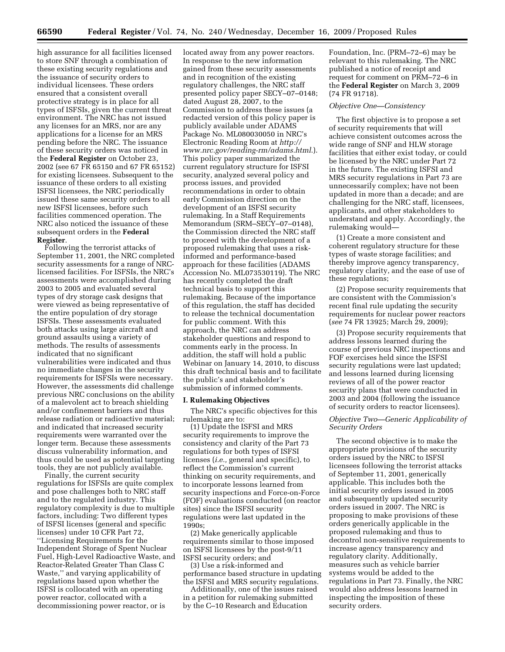high assurance for all facilities licensed to store SNF through a combination of these existing security regulations and the issuance of security orders to individual licensees. These orders ensured that a consistent overall protective strategy is in place for all types of ISFSIs, given the current threat environment. The NRC has not issued any licenses for an MRS, nor are any applications for a license for an MRS pending before the NRC. The issuance of these security orders was noticed in the **Federal Register** on October 23, 2002 (see 67 FR 65150 and 67 FR 65152) for existing licensees. Subsequent to the issuance of these orders to all existing ISFSI licensees, the NRC periodically issued these same security orders to all new ISFSI licensees, before such facilities commenced operation. The NRC also noticed the issuance of these subsequent orders in the **Federal Register**.

Following the terrorist attacks of September 11, 2001, the NRC completed security assessments for a range of NRClicensed facilities. For ISFSIs, the NRC's assessments were accomplished during 2003 to 2005 and evaluated several types of dry storage cask designs that were viewed as being representative of the entire population of dry storage ISFSIs. These assessments evaluated both attacks using large aircraft and ground assaults using a variety of methods. The results of assessments indicated that no significant vulnerabilities were indicated and thus no immediate changes in the security requirements for ISFSIs were necessary. However, the assessments did challenge previous NRC conclusions on the ability of a malevolent act to breach shielding and/or confinement barriers and thus release radiation or radioactive material; and indicated that increased security requirements were warranted over the longer term. Because these assessments discuss vulnerability information, and thus could be used as potential targeting tools, they are not publicly available.

Finally, the current security regulations for ISFSIs are quite complex and pose challenges both to NRC staff and to the regulated industry. This regulatory complexity is due to multiple factors, including: Two different types of ISFSI licenses (general and specific licenses) under 10 CFR Part 72, ''Licensing Requirements for the Independent Storage of Spent Nuclear Fuel, High-Level Radioactive Waste, and Reactor-Related Greater Than Class C Waste,'' and varying applicability of regulations based upon whether the ISFSI is collocated with an operating power reactor, collocated with a decommissioning power reactor, or is

located away from any power reactors. In response to the new information gained from these security assessments and in recognition of the existing regulatory challenges, the NRC staff presented policy paper SECY–07–0148; dated August 28, 2007, to the Commission to address these issues (a redacted version of this policy paper is publicly available under ADAMS Package No. ML080030050 in NRC's Electronic Reading Room at *http:// www.nrc.gov/reading-rm/adams.html*.). This policy paper summarized the current regulatory structure for ISFSI security, analyzed several policy and process issues, and provided recommendations in order to obtain early Commission direction on the development of an ISFSI security rulemaking. In a Staff Requirements Memorandum (SRM–SECY–07–0148), the Commission directed the NRC staff to proceed with the development of a proposed rulemaking that uses a riskinformed and performance-based approach for these facilities (ADAMS Accession No. ML073530119). The NRC has recently completed the draft technical basis to support this rulemaking. Because of the importance of this regulation, the staff has decided to release the technical documentation for public comment. With this approach, the NRC can address stakeholder questions and respond to comments early in the process. In addition, the staff will hold a public Webinar on January 14, 2010, to discuss this draft technical basis and to facilitate the public's and stakeholder's submission of informed comments.

#### **I. Rulemaking Objectives**

The NRC's specific objectives for this rulemaking are to:

(1) Update the ISFSI and MRS security requirements to improve the consistency and clarity of the Part 73 regulations for both types of ISFSI licenses (*i.e.,* general and specific), to reflect the Commission's current thinking on security requirements, and to incorporate lessons learned from security inspections and Force-on-Force (FOF) evaluations conducted (on reactor sites) since the ISFSI security regulations were last updated in the 1990s;

(2) Make generically applicable requirements similar to those imposed on ISFSI licensees by the post-9/11 ISFSI security orders; and

(3) Use a risk-informed and performance based structure in updating the ISFSI and MRS security regulations.

Additionally, one of the issues raised in a petition for rulemaking submitted by the C–10 Research and Education

Foundation, Inc. (PRM–72–6) may be relevant to this rulemaking. The NRC published a notice of receipt and request for comment on PRM–72–6 in the **Federal Register** on March 3, 2009 (74 FR 91718).

#### *Objective One—Consistency*

The first objective is to propose a set of security requirements that will achieve consistent outcomes across the wide range of SNF and HLW storage facilities that either exist today, or could be licensed by the NRC under Part 72 in the future. The existing ISFSI and MRS security regulations in Part 73 are unnecessarily complex; have not been updated in more than a decade; and are challenging for the NRC staff, licensees, applicants, and other stakeholders to understand and apply. Accordingly, the rulemaking would—

(1) Create a more consistent and coherent regulatory structure for these types of waste storage facilities; and thereby improve agency transparency, regulatory clarity, and the ease of use of these regulations;

(2) Propose security requirements that are consistent with the Commission's recent final rule updating the security requirements for nuclear power reactors (*see* 74 FR 13925; March 29, 2009);

(3) Propose security requirements that address lessons learned during the course of previous NRC inspections and FOF exercises held since the ISFSI security regulations were last updated; and lessons learned during licensing reviews of all of the power reactor security plans that were conducted in 2003 and 2004 (following the issuance of security orders to reactor licensees).

#### *Objective Two—Generic Applicability of Security Orders*

The second objective is to make the appropriate provisions of the security orders issued by the NRC to ISFSI licensees following the terrorist attacks of September 11, 2001, generically applicable. This includes both the initial security orders issued in 2005 and subsequently updated security orders issued in 2007. The NRC is proposing to make provisions of these orders generically applicable in the proposed rulemaking and thus to decontrol non-sensitive requirements to increase agency transparency and regulatory clarity. Additionally, measures such as vehicle barrier systems would be added to the regulations in Part 73. Finally, the NRC would also address lessons learned in inspecting the imposition of these security orders.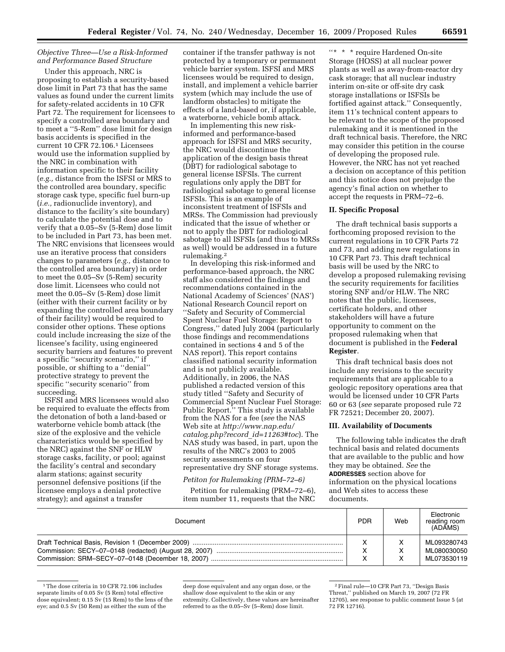## *Objective Three—Use a Risk-Informed and Performance Based Structure*

Under this approach, NRC is proposing to establish a security-based dose limit in Part 73 that has the same values as found under the current limits for safety-related accidents in 10 CFR Part 72. The requirement for licensees to specify a controlled area boundary and to meet a ''5-Rem'' dose limit for design basis accidents is specified in the current 10 CFR 72.106.1 Licensees would use the information supplied by the NRC in combination with information specific to their facility (*e.g.,* distance from the ISFSI or MRS to the controlled area boundary, specific storage cask type, specific fuel burn-up (*i.e.,* radionuclide inventory), and distance to the facility's site boundary) to calculate the potential dose and to verify that a 0.05–Sv (5-Rem) dose limit to be included in Part 73, has been met. The NRC envisions that licensees would use an iterative process that considers changes to parameters (*e.g.,* distance to the controlled area boundary) in order to meet the 0.05–Sv (5-Rem) security dose limit. Licensees who could not meet the 0.05–Sv (5-Rem) dose limit (either with their current facility or by expanding the controlled area boundary of their facility) would be required to consider other options. These options could include increasing the size of the licensee's facility, using engineered security barriers and features to prevent a specific ''security scenario,'' if possible, or shifting to a ''denial'' protective strategy to prevent the specific ''security scenario'' from succeeding.

ISFSI and MRS licensees would also be required to evaluate the effects from the detonation of both a land-based or waterborne vehicle bomb attack (the size of the explosive and the vehicle characteristics would be specified by the NRC) against the SNF or HLW storage casks, facility, or pool; against the facility's central and secondary alarm stations; against security personnel defensive positions (if the licensee employs a denial protective strategy); and against a transfer

container if the transfer pathway is not protected by a temporary or permanent vehicle barrier system. ISFSI and MRS licensees would be required to design, install, and implement a vehicle barrier system (which may include the use of landform obstacles) to mitigate the effects of a land-based or, if applicable, a waterborne, vehicle bomb attack.

In implementing this new riskinformed and performance-based approach for ISFSI and MRS security, the NRC would discontinue the application of the design basis threat (DBT) for radiological sabotage to general license ISFSIs. The current regulations only apply the DBT for radiological sabotage to general license ISFSIs. This is an example of inconsistent treatment of ISFSIs and MRSs. The Commission had previously indicated that the issue of whether or not to apply the DBT for radiological sabotage to all ISFSIs (and thus to MRSs as well) would be addressed in a future rulemaking.2

In developing this risk-informed and performance-based approach, the NRC staff also considered the findings and recommendations contained in the National Academy of Sciences' (NAS') National Research Council report on ''Safety and Security of Commercial Spent Nuclear Fuel Storage: Report to Congress,'' dated July 2004 (particularly those findings and recommendations contained in sections 4 and 5 of the NAS report). This report contains classified national security information and is not publicly available. Additionally, in 2006, the NAS published a redacted version of this study titled ''Safety and Security of Commercial Spent Nuclear Fuel Storage: Public Report.'' This study is available from the NAS for a fee (*see* the NAS Web site at *http://www.nap.edu/ catalog.php?record*\_*id=11263#toc*). The NAS study was based, in part, upon the results of the NRC's 2003 to 2005 security assessments on four representative dry SNF storage systems.

## *Petiton for Rulemaking (PRM–72–6)*

Petition for rulemaking (PRM–72–6), item number 11, requests that the NRC

''\* \* \* require Hardened On-site Storage (HOSS) at all nuclear power plants as well as away-from-reactor dry cask storage; that all nuclear industry interim on-site or off-site dry cask storage installations or ISFSIs be fortified against attack.'' Consequently, item 11's technical content appears to be relevant to the scope of the proposed rulemaking and it is mentioned in the draft technical basis. Therefore, the NRC may consider this petition in the course of developing the proposed rule. However, the NRC has not yet reached a decision on acceptance of this petition and this notice does not prejudge the agency's final action on whether to accept the requests in PRM–72–6.

#### **II. Specific Proposal**

The draft technical basis supports a forthcoming proposed revision to the current regulations in 10 CFR Parts 72 and 73, and adding new regulations in 10 CFR Part 73. This draft technical basis will be used by the NRC to develop a proposed rulemaking revising the security requirements for facilities storing SNF and/or HLW. The NRC notes that the public, licensees, certificate holders, and other stakeholders will have a future opportunity to comment on the proposed rulemaking when that document is published in the **Federal Register**.

This draft technical basis does not include any revisions to the security requirements that are applicable to a geologic repository operations area that would be licensed under 10 CFR Parts 60 or 63 (*see* separate proposed rule 72 FR 72521; December 20, 2007).

#### **III. Availability of Documents**

The following table indicates the draft technical basis and related documents that are available to the public and how they may be obtained. *See* the **ADDRESSES** section above for information on the physical locations and Web sites to access these documents.

| Document | <b>PDR</b>   | Web | Electronic<br>reading room<br>(ADAMS) |
|----------|--------------|-----|---------------------------------------|
|          | $\checkmark$ |     | ML093280743                           |
|          | x            |     | ML080030050                           |
|          | $\checkmark$ |     | ML073530119                           |

<sup>&</sup>lt;sup>1</sup>The dose criteria in 10 CFR 72.106 includes separate limits of 0.05 Sv (5 Rem) total effective dose equivalent; 0.15 Sv (15 Rem) to the lens of the eye; and 0.5 Sv (50 Rem) as either the sum of the

deep dose equivalent and any organ dose, or the shallow dose equivalent to the skin or any extremity. Collectively, these values are hereinafter referred to as the 0.05–Sv (5–Rem) dose limit.

<sup>2</sup>Final rule—10 CFR Part 73, ''Design Basis Threat,'' published on March 19, 2007 (72 FR 12705), see response to public comment Issue 5 (at 72 FR 12716).